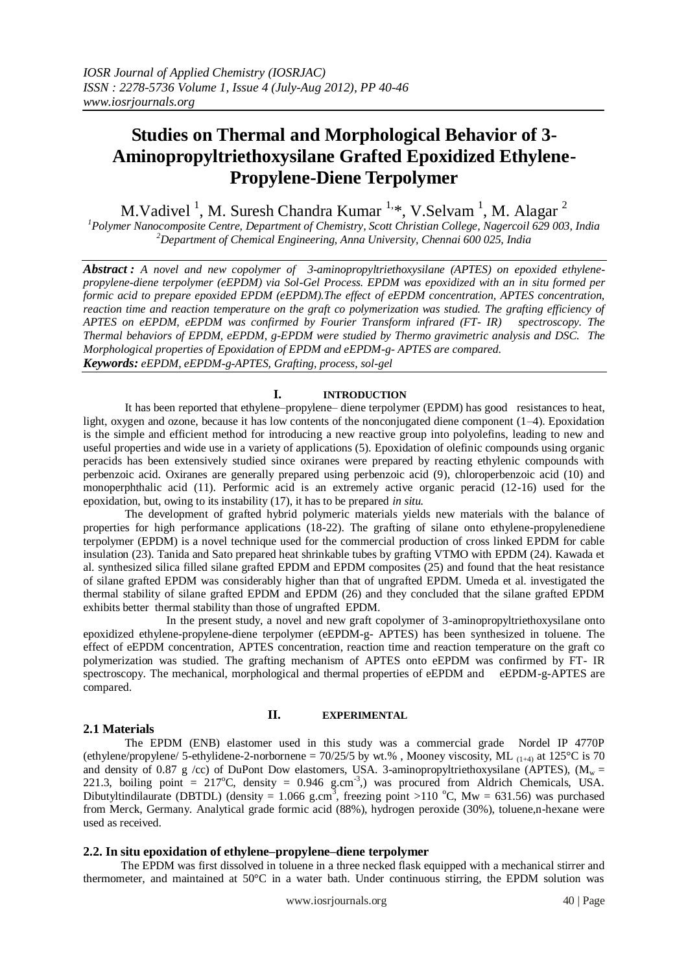# **Studies on Thermal and Morphological Behavior of 3- Aminopropyltriethoxysilane Grafted Epoxidized Ethylene-Propylene-Diene Terpolymer**

M.Vadivel<sup>1</sup>, M. Suresh Chandra Kumar<sup>1,\*</sup>, V.Selvam<sup>1</sup>, M. Alagar<sup>2</sup>

*<sup>1</sup>Polymer Nanocomposite Centre, Department of Chemistry, Scott Christian College, Nagercoil 629 003, India <sup>2</sup>Department of Chemical Engineering, Anna University, Chennai 600 025, India*

*Abstract : A novel and new copolymer of 3-aminopropyltriethoxysilane (APTES) on epoxided ethylenepropylene-diene terpolymer (eEPDM) via Sol-Gel Process. EPDM was epoxidized with an in situ formed per formic acid to prepare epoxided EPDM (eEPDM).The effect of eEPDM concentration, APTES concentration,*  reaction time and reaction temperature on the graft co polymerization was studied. The grafting efficiency of *APTES on eEPDM, eEPDM was confirmed by Fourier Transform infrared (FT- IR) spectroscopy. The Thermal behaviors of EPDM, eEPDM, g-EPDM were studied by Thermo gravimetric analysis and DSC. The Morphological properties of Epoxidation of EPDM and eEPDM-g- APTES are compared. Keywords: eEPDM, eEPDM-g-APTES, Grafting, process, sol-gel*

# **I. INTRODUCTION**

It has been reported that ethylene–propylene– diene terpolymer (EPDM) has good resistances to heat, light, oxygen and ozone, because it has low contents of the nonconjugated diene component (1–4). Epoxidation is the simple and efficient method for introducing a new reactive group into polyolefins, leading to new and useful properties and wide use in a variety of applications (5). Epoxidation of olefinic compounds using organic peracids has been extensively studied since oxiranes were prepared by reacting ethylenic compounds with perbenzoic acid. Oxiranes are generally prepared using perbenzoic acid (9), chloroperbenzoic acid (10) and monoperphthalic acid (11). Performic acid is an extremely active organic peracid (12-16) used for the epoxidation, but, owing to its instability (17), it has to be prepared *in situ.*

 The development of grafted hybrid polymeric materials yields new materials with the balance of properties for high performance applications (18-22). The grafting of silane onto ethylene-propylenediene terpolymer (EPDM) is a novel technique used for the commercial production of cross linked EPDM for cable insulation (23). Tanida and Sato prepared heat shrinkable tubes by grafting VTMO with EPDM (24). Kawada et al. synthesized silica filled silane grafted EPDM and EPDM composites (25) and found that the heat resistance of silane grafted EPDM was considerably higher than that of ungrafted EPDM. Umeda et al. investigated the thermal stability of silane grafted EPDM and EPDM (26) and they concluded that the silane grafted EPDM exhibits better thermal stability than those of ungrafted EPDM.

 In the present study, a novel and new graft copolymer of 3-aminopropyltriethoxysilane onto epoxidized ethylene-propylene-diene terpolymer (eEPDM-g- APTES) has been synthesized in toluene. The effect of eEPDM concentration, APTES concentration, reaction time and reaction temperature on the graft co polymerization was studied. The grafting mechanism of APTES onto eEPDM was confirmed by FT- IR spectroscopy. The mechanical, morphological and thermal properties of eEPDM and eEPDM-g-APTES are compared.

# **2.1 Materials**

# **II. EXPERIMENTAL**

The EPDM (ENB) elastomer used in this study was a commercial grade Nordel IP 4770P (ethylene/propylene/ 5-ethylidene-2-norbornene =  $70/25/5$  by wt.%). Mooney viscosity, ML  $_{(1+4)}$  at 125°C is 70 and density of 0.87 g /cc) of DuPont Dow elastomers, USA. 3-aminopropyltriethoxysilane (APTES), ( $M_w$  = 221.3, boiling point =  $217^{\circ}$ C, density = 0.946 g.cm<sup>-3</sup>,) was procured from Aldrich Chemicals, USA. Dibutyltindilaurate (DBTDL) (density = 1.066 g.cm<sup>3</sup>, freezing point >110 °C, Mw = 631.56) was purchased from Merck, Germany. Analytical grade formic acid (88%), hydrogen peroxide (30%), toluene,n-hexane were used as received.

#### **2.2. In situ epoxidation of ethylene–propylene–diene terpolymer**

The EPDM was first dissolved in toluene in a three necked flask equipped with a mechanical stirrer and thermometer, and maintained at 50°C in a water bath. Under continuous stirring, the EPDM solution was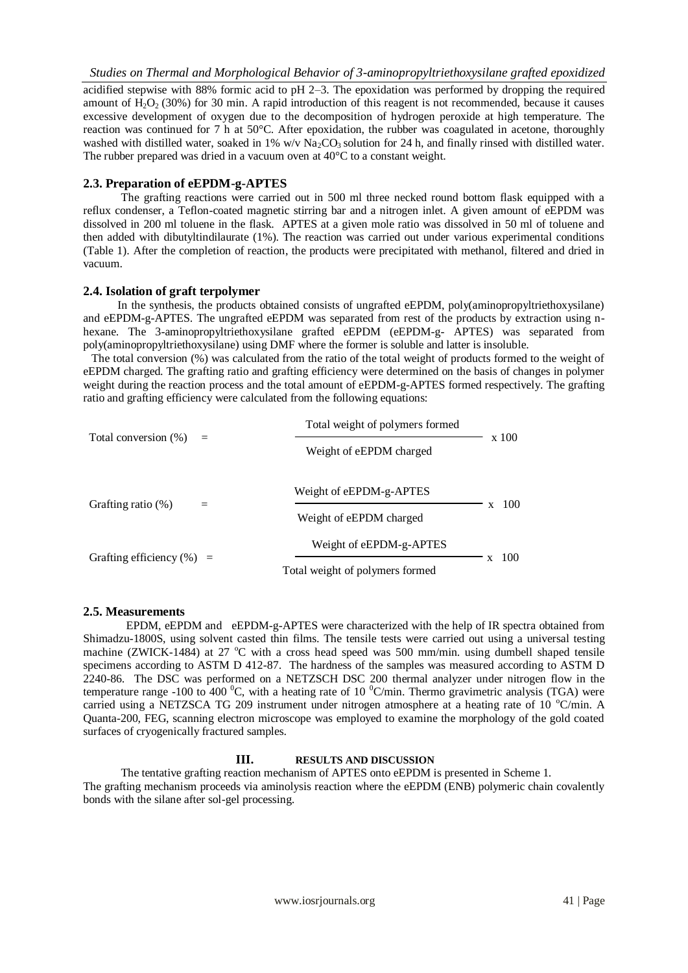acidified stepwise with 88% formic acid to pH 2–3. The epoxidation was performed by dropping the required amount of  $H_2O_2$  (30%) for 30 min. A rapid introduction of this reagent is not recommended, because it causes excessive development of oxygen due to the decomposition of hydrogen peroxide at high temperature. The reaction was continued for 7 h at 50°C. After epoxidation, the rubber was coagulated in acetone, thoroughly washed with distilled water, soaked in 1% w/v  $Na_2CO_3$  solution for 24 h, and finally rinsed with distilled water. The rubber prepared was dried in a vacuum oven at 40°C to a constant weight.

# **2.3. Preparation of eEPDM-g-APTES**

The grafting reactions were carried out in 500 ml three necked round bottom flask equipped with a reflux condenser, a Teflon-coated magnetic stirring bar and a nitrogen inlet. A given amount of eEPDM was dissolved in 200 ml toluene in the flask. APTES at a given mole ratio was dissolved in 50 ml of toluene and then added with dibutyltindilaurate (1%). The reaction was carried out under various experimental conditions (Table 1). After the completion of reaction, the products were precipitated with methanol, filtered and dried in vacuum.

## **2.4. Isolation of graft terpolymer**

 In the synthesis, the products obtained consists of ungrafted eEPDM, poly(aminopropyltriethoxysilane) and eEPDM-g-APTES. The ungrafted eEPDM was separated from rest of the products by extraction using nhexane. The 3-aminopropyltriethoxysilane grafted eEPDM (eEPDM-g- APTES) was separated from poly(aminopropyltriethoxysilane) using DMF where the former is soluble and latter is insoluble.

 The total conversion (%) was calculated from the ratio of the total weight of products formed to the weight of eEPDM charged. The grafting ratio and grafting efficiency were determined on the basis of changes in polymer weight during the reaction process and the total amount of eEPDM-g-APTES formed respectively. The grafting ratio and grafting efficiency were calculated from the following equations:

| Total conversion (%)         | $\equiv$ | Total weight of polymers formed |       |      |
|------------------------------|----------|---------------------------------|-------|------|
|                              |          | Weight of eEPDM charged         | x 100 |      |
| Grafting ratio (%)           |          | Weight of eEPDM-g-APTES         |       | 100  |
|                              |          | Weight of eEPDM charged         | x     |      |
| Grafting efficiency $(\%)$ = |          | Weight of eEPDM-g-APTES         |       | -100 |
|                              |          | Total weight of polymers formed |       |      |

## **2.5. Measurements**

 EPDM, eEPDM and eEPDM-g-APTES were characterized with the help of IR spectra obtained from Shimadzu-1800S, using solvent casted thin films. The tensile tests were carried out using a universal testing machine (ZWICK-1484) at 27  $\degree$ C with a cross head speed was 500 mm/min. using dumbell shaped tensile specimens according to ASTM D 412-87. The hardness of the samples was measured according to ASTM D 2240-86. The DSC was performed on a NETZSCH DSC 200 thermal analyzer under nitrogen flow in the temperature range -100 to 400 °C, with a heating rate of 10 °C/min. Thermo gravimetric analysis (TGA) were carried using a NETZSCA TG 209 instrument under nitrogen atmosphere at a heating rate of 10  $^{\circ}$ C/min. A Quanta-200, FEG, scanning electron microscope was employed to examine the morphology of the gold coated surfaces of cryogenically fractured samples.

## **III. RESULTS AND DISCUSSION**

 The tentative grafting reaction mechanism of APTES onto eEPDM is presented in Scheme 1. The grafting mechanism proceeds via aminolysis reaction where the eEPDM (ENB) polymeric chain covalently bonds with the silane after sol-gel processing.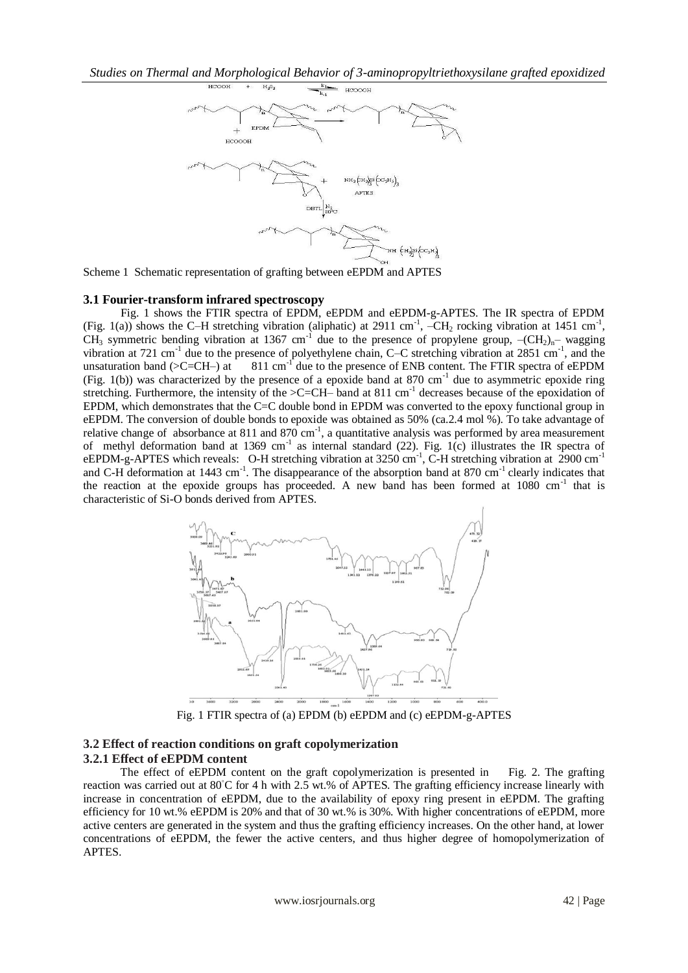

Scheme 1 Schematic representation of grafting between eEPDM and APTES

#### **3.1 Fourier-transform infrared spectroscopy**

 Fig. 1 shows the FTIR spectra of EPDM, eEPDM and eEPDM-g-APTES. The IR spectra of EPDM (Fig. 1(a)) shows the C-H stretching vibration (aliphatic) at 2911 cm<sup>-1</sup>,  $-CH_2$  rocking vibration at 1451 cm<sup>-1</sup>, CH<sub>3</sub> symmetric bending vibration at 1367 cm<sup>-1</sup> due to the presence of propylene group,  $-(CH<sub>2</sub>)<sub>n</sub>$ – wagging vibration at 721 cm<sup>-1</sup> due to the presence of polyethylene chain, C–C stretching vibration at 2851 cm<sup>-1</sup>, and the unsaturation band  $(>C=CH-)$  at  $811 \text{ cm}^{-1}$  due to the presence of ENB content. The FTIR spectra of eEPDM (Fig. 1(b)) was characterized by the presence of a epoxide band at 870 cm<sup>-1</sup> due to asymmetric epoxide ring stretching. Furthermore, the intensity of the  $\geq$ C=CH– band at 811 cm<sup>-1</sup> decreases because of the epoxidation of EPDM, which demonstrates that the C=C double bond in EPDM was converted to the epoxy functional group in eEPDM. The conversion of double bonds to epoxide was obtained as 50% (ca.2.4 mol %). To take advantage of relative change of absorbance at 811 and 870 cm<sup>-1</sup>, a quantitative analysis was performed by area measurement of methyl deformation band at 1369 cm<sup>-1</sup> as internal standard (22). Fig. 1(c) illustrates the IR spectra of eEPDM-g-APTES which reveals: O-H stretching vibration at 3250 cm<sup>-1</sup>, C-H stretching vibration at 2900 cm<sup>-1</sup> and C-H deformation at 1443 cm<sup>-1</sup>. The disappearance of the absorption band at 870 cm<sup>-1</sup> clearly indicates that the reaction at the epoxide groups has proceeded. A new band has been formed at 1080 cm<sup>-1</sup> that is characteristic of Si-O bonds derived from APTES.



Fig. 1 FTIR spectra of (a) EPDM (b) eEPDM and (c) eEPDM-g-APTES

## **3.2 Effect of reaction conditions on graft copolymerization 3.2.1 Effect of eEPDM content**

 The effect of eEPDM content on the graft copolymerization is presented in Fig. 2. The grafting reaction was carried out at 80◦C for 4 h with 2.5 wt.% of APTES. The grafting efficiency increase linearly with increase in concentration of eEPDM, due to the availability of epoxy ring present in eEPDM. The grafting efficiency for 10 wt.% eEPDM is 20% and that of 30 wt.% is 30%. With higher concentrations of eEPDM, more active centers are generated in the system and thus the grafting efficiency increases. On the other hand, at lower concentrations of eEPDM, the fewer the active centers, and thus higher degree of homopolymerization of APTES.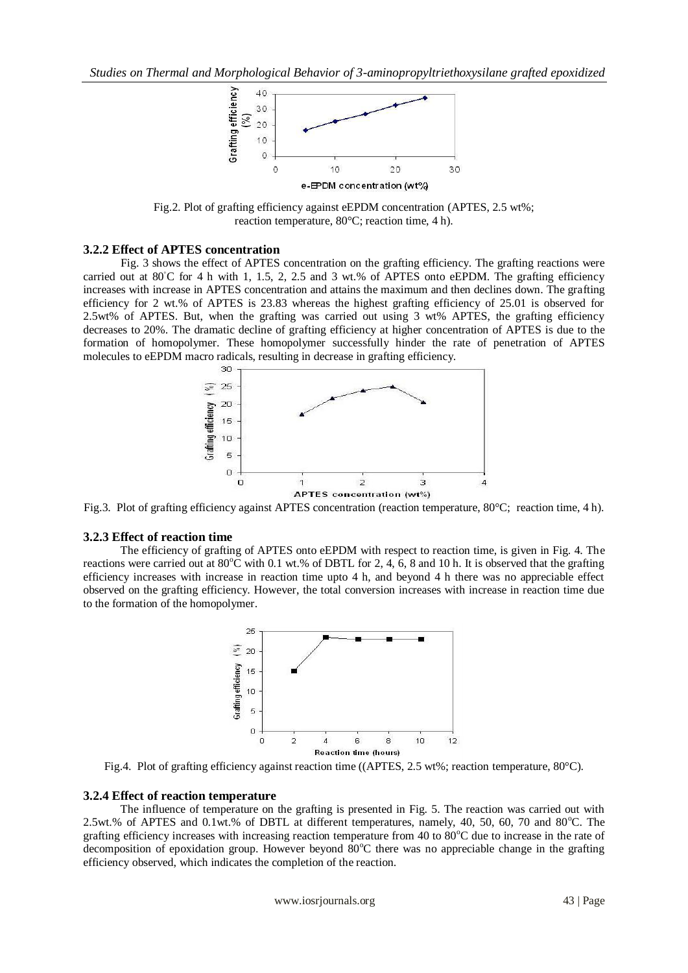

Fig.2. Plot of grafting efficiency against eEPDM concentration (APTES, 2.5 wt%; reaction temperature, 80°C; reaction time, 4 h).

### **3.2.2 Effect of APTES concentration**

 Fig. 3 shows the effect of APTES concentration on the grafting efficiency. The grafting reactions were carried out at  $80^{\circ}$ C for 4 h with 1, 1.5, 2, 2.5 and 3 wt.% of APTES onto eEPDM. The grafting efficiency increases with increase in APTES concentration and attains the maximum and then declines down. The grafting efficiency for 2 wt.% of APTES is 23.83 whereas the highest grafting efficiency of 25.01 is observed for 2.5wt% of APTES. But, when the grafting was carried out using 3 wt% APTES, the grafting efficiency decreases to 20%. The dramatic decline of grafting efficiency at higher concentration of APTES is due to the formation of homopolymer. These homopolymer successfully hinder the rate of penetration of APTES molecules to eEPDM macro radicals, resulting in decrease in grafting efficiency.



Fig.3. Plot of grafting efficiency against APTES concentration (reaction temperature, 80°C; reaction time, 4 h).

# **3.2.3 Effect of reaction time**

 The efficiency of grafting of APTES onto eEPDM with respect to reaction time, is given in Fig. 4. The reactions were carried out at  $80^{\circ}$ C with 0.1 wt.% of DBTL for 2, 4, 6, 8 and 10 h. It is observed that the grafting efficiency increases with increase in reaction time upto 4 h, and beyond 4 h there was no appreciable effect observed on the grafting efficiency. However, the total conversion increases with increase in reaction time due to the formation of the homopolymer.



Fig.4. Plot of grafting efficiency against reaction time ((APTES, 2.5 wt%; reaction temperature, 80°C).

#### **3.2.4 Effect of reaction temperature**

 The influence of temperature on the grafting is presented in Fig. 5. The reaction was carried out with 2.5wt.% of APTES and 0.1wt.% of DBTL at different temperatures, namely, 40, 50, 60, 70 and 80°C. The grafting efficiency increases with increasing reaction temperature from 40 to  $80^{\circ}$ C due to increase in the rate of decomposition of epoxidation group. However beyond  $80^{\circ}$ C there was no appreciable change in the grafting efficiency observed, which indicates the completion of the reaction.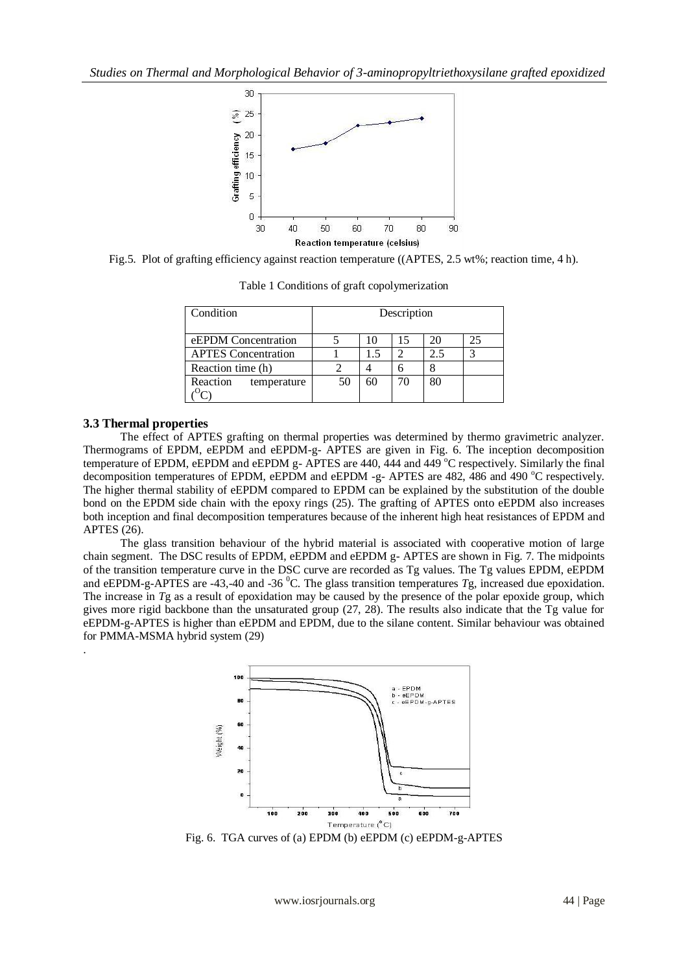

Fig.5. Plot of grafting efficiency against reaction temperature ((APTES, 2.5 wt%; reaction time, 4 h).

| Condition                  | Description |     |    |     |    |  |  |
|----------------------------|-------------|-----|----|-----|----|--|--|
| eEPDM Concentration        |             | 10  | 15 |     | 25 |  |  |
| <b>APTES</b> Concentration |             | 1.5 |    | 2.5 | 3  |  |  |
| Reaction time (h)          |             |     |    |     |    |  |  |
| Reaction<br>temperature    | 50          | 60  | 70 | 80  |    |  |  |
|                            |             |     |    |     |    |  |  |

Table 1 Conditions of graft copolymerization

#### **3.3 Thermal properties**

.

 The effect of APTES grafting on thermal properties was determined by thermo gravimetric analyzer. Thermograms of EPDM, eEPDM and eEPDM-g- APTES are given in Fig. 6. The inception decomposition temperature of EPDM, eEPDM and eEPDM  $g$ - APTES are 440, 444 and 449  $^{\circ}$ C respectively. Similarly the final decomposition temperatures of EPDM, eEPDM and eEPDM -g- APTES are 482, 486 and 490 °C respectively. The higher thermal stability of eEPDM compared to EPDM can be explained by the substitution of the double bond on the EPDM side chain with the epoxy rings (25). The grafting of APTES onto eEPDM also increases both inception and final decomposition temperatures because of the inherent high heat resistances of EPDM and APTES (26).

 The glass transition behaviour of the hybrid material is associated with cooperative motion of large chain segment. The DSC results of EPDM, eEPDM and eEPDM g- APTES are shown in Fig. 7. The midpoints of the transition temperature curve in the DSC curve are recorded as Tg values. The Tg values EPDM, eEPDM and eEPDM-g-APTES are -43,-40 and -36<sup>°</sup>C. The glass transition temperatures *Tg*, increased due epoxidation. The increase in *T*g as a result of epoxidation may be caused by the presence of the polar epoxide group, which gives more rigid backbone than the unsaturated group (27, 28). The results also indicate that the Tg value for eEPDM-g-APTES is higher than eEPDM and EPDM, due to the silane content. Similar behaviour was obtained for PMMA-MSMA hybrid system (29)



Fig. 6. TGA curves of (a) EPDM (b) eEPDM (c) eEPDM-g-APTES

www.iosrjournals.org 44 | Page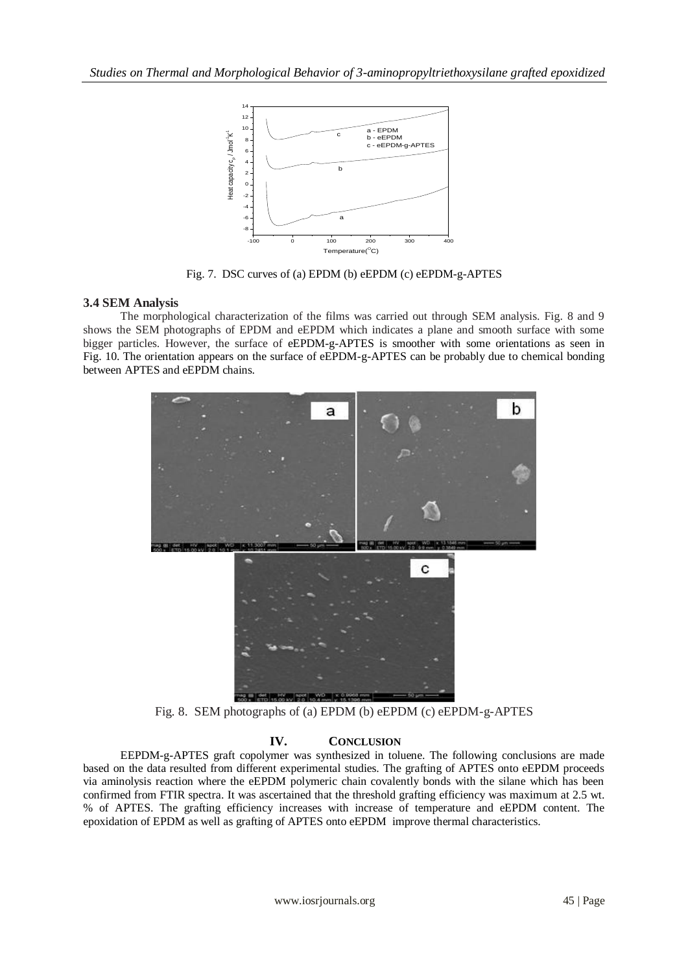

Fig. 7. DSC curves of (a) EPDM (b) eEPDM (c) eEPDM-g-APTES

# **3.4 SEM Analysis**

 The morphological characterization of the films was carried out through SEM analysis. Fig. 8 and 9 shows the SEM photographs of EPDM and eEPDM which indicates a plane and smooth surface with some bigger particles. However, the surface of eEPDM-g-APTES is smoother with some orientations as seen in Fig. 10. The orientation appears on the surface of eEPDM-g-APTES can be probably due to chemical bonding between APTES and eEPDM chains.



Fig. 8. SEM photographs of (a) EPDM (b) eEPDM (c) eEPDM-g-APTES

# **IV. CONCLUSION**

 EEPDM-g-APTES graft copolymer was synthesized in toluene. The following conclusions are made based on the data resulted from different experimental studies. The grafting of APTES onto eEPDM proceeds via aminolysis reaction where the eEPDM polymeric chain covalently bonds with the silane which has been confirmed from FTIR spectra. It was ascertained that the threshold grafting efficiency was maximum at 2.5 wt. % of APTES. The grafting efficiency increases with increase of temperature and eEPDM content. The epoxidation of EPDM as well as grafting of APTES onto eEPDM improve thermal characteristics.